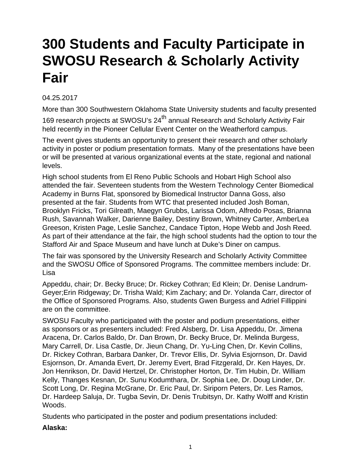# **300 Students and Faculty Participate in SWOSU Research & Scholarly Activity Fair**

# 04.25.2017

More than 300 Southwestern Oklahoma State University students and faculty presented 169 research projects at SWOSU's 24<sup>th</sup> annual Research and Scholarly Activity Fair held recently in the Pioneer Cellular Event Center on the Weatherford campus.

The event gives students an opportunity to present their research and other scholarly activity in poster or podium presentation formats. Many of the presentations have been or will be presented at various organizational events at the state, regional and national levels.

High school students from El Reno Public Schools and Hobart High School also attended the fair. Seventeen students from the Western Technology Center Biomedical Academy in Burns Flat, sponsored by Biomedical Instructor Danna Goss, also presented at the fair. Students from WTC that presented included Josh Boman, Brooklyn Fricks, Tori Gilreath, Maegyn Grubbs, Larissa Odom, Alfredo Posas, Brianna Rush, Savannah Walker, Darienne Bailey, Destiny Brown, Whitney Carter, AmberLea Greeson, Kristen Page, Leslie Sanchez, Candace Tipton, Hope Webb and Josh Reed. As part of their attendance at the fair, the high school students had the option to tour the Stafford Air and Space Museum and have lunch at Duke's Diner on campus.

The fair was sponsored by the University Research and Scholarly Activity Committee and the SWOSU Office of Sponsored Programs. The committee members include: Dr. Lisa

Appeddu, chair; Dr. Becky Bruce; Dr. Rickey Cothran; Ed Klein; Dr. Denise Landrum-Geyer;Erin Ridgeway; Dr. Trisha Wald; Kim Zachary; and Dr. Yolanda Carr, director of the Office of Sponsored Programs. Also, students Gwen Burgess and Adriel Fillippini are on the committee.

SWOSU Faculty who participated with the poster and podium presentations, either as sponsors or as presenters included: Fred Alsberg, Dr. Lisa Appeddu, Dr. Jimena Aracena, Dr. Carlos Baldo, Dr. Dan Brown, Dr. Becky Bruce, Dr. Melinda Burgess, Mary Carrell, Dr. Lisa Castle, Dr. Jieun Chang, Dr. Yu-Ling Chen, Dr. Kevin Collins, Dr. Rickey Cothran, Barbara Danker, Dr. Trevor Ellis, Dr. Sylvia Esjornson, Dr. David Esjornson, Dr. Amanda Evert, Dr. Jeremy Evert, Brad Fitzgerald, Dr. Ken Hayes, Dr. Jon Henrikson, Dr. David Hertzel, Dr. Christopher Horton, Dr. Tim Hubin, Dr. William Kelly, Thanges Kesnan, Dr. Sunu Kodumthara, Dr. Sophia Lee, Dr. Doug Linder, Dr. Scott Long, Dr. Regina McGrane, Dr. Eric Paul, Dr. Siriporn Peters, Dr. Les Ramos, Dr. Hardeep Saluja, Dr. Tugba Sevin, Dr. Denis Trubitsyn, Dr. Kathy Wolff and Kristin Woods.

Students who participated in the poster and podium presentations included:

## **Alaska:**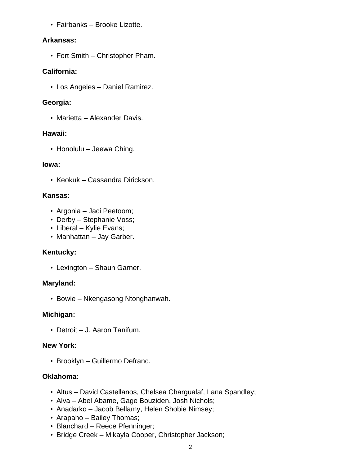• Fairbanks – Brooke Lizotte.

#### **Arkansas:**

• Fort Smith – Christopher Pham.

## **California:**

• Los Angeles – Daniel Ramirez.

## **Georgia:**

• Marietta – Alexander Davis.

#### **Hawaii:**

• Honolulu – Jeewa Ching.

#### **Iowa:**

• Keokuk – Cassandra Dirickson.

#### **Kansas:**

- Argonia Jaci Peetoom;
- Derby Stephanie Voss;
- Liberal Kylie Evans;
- Manhattan Jay Garber.

#### **Kentucky:**

• Lexington – Shaun Garner.

#### **Maryland:**

• Bowie – Nkengasong Ntonghanwah.

#### **Michigan:**

• Detroit – J. Aaron Tanifum.

#### **New York:**

• Brooklyn – Guillermo Defranc.

#### **Oklahoma:**

- Altus David Castellanos, Chelsea Chargualaf, Lana Spandley;
- Alva Abel Abame, Gage Bouziden, Josh Nichols;
- Anadarko Jacob Bellamy, Helen Shobie Nimsey;
- Arapaho Bailey Thomas;
- Blanchard Reece Pfenninger;
- Bridge Creek Mikayla Cooper, Christopher Jackson;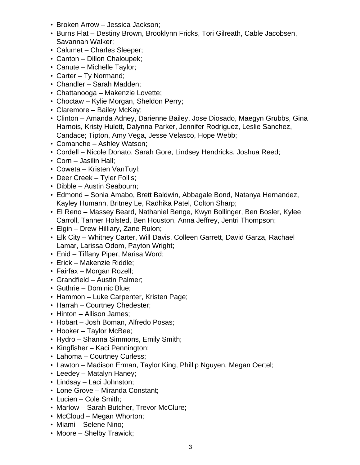- Broken Arrow Jessica Jackson;
- Burns Flat Destiny Brown, Brooklynn Fricks, Tori Gilreath, Cable Jacobsen, Savannah Walker;
- Calumet Charles Sleeper;
- Canton Dillon Chaloupek;
- Canute Michelle Taylor;
- Carter Ty Normand;
- Chandler Sarah Madden;
- Chattanooga Makenzie Lovette;
- Choctaw Kylie Morgan, Sheldon Perry;
- Claremore Bailey McKay;
- Clinton Amanda Adney, Darienne Bailey, Jose Diosado, Maegyn Grubbs, Gina Harnois, Kristy Hulett, Dalynna Parker, Jennifer Rodriguez, Leslie Sanchez, Candace; Tipton, Amy Vega, Jesse Velasco, Hope Webb;
- Comanche Ashley Watson;
- Cordell Nicole Donato, Sarah Gore, Lindsey Hendricks, Joshua Reed;
- Corn Jasilin Hall;
- Coweta Kristen VanTuyl;
- Deer Creek Tyler Follis;
- Dibble Austin Seabourn;
- Edmond Sonia Amabo, Brett Baldwin, Abbagale Bond, Natanya Hernandez, Kayley Humann, Britney Le, Radhika Patel, Colton Sharp;
- El Reno Massey Beard, Nathaniel Benge, Kwyn Bollinger, Ben Bosler, Kylee Carroll, Tanner Holsted, Ben Houston, Anna Jeffrey, Jentri Thompson;
- Elgin Drew Hilliary, Zane Rulon;
- Elk City Whitney Carter, Will Davis, Colleen Garrett, David Garza, Rachael Lamar, Larissa Odom, Payton Wright;
- Enid Tiffany Piper, Marisa Word;
- Erick Makenzie Riddle;
- Fairfax Morgan Rozell;
- Grandfield Austin Palmer;
- Guthrie Dominic Blue;
- Hammon Luke Carpenter, Kristen Page;
- Harrah Courtney Chedester;
- Hinton Allison James;
- Hobart Josh Boman, Alfredo Posas;
- Hooker Taylor McBee;
- Hydro Shanna Simmons, Emily Smith;
- Kingfisher Kaci Pennington;
- Lahoma Courtney Curless;
- Lawton Madison Erman, Taylor King, Phillip Nguyen, Megan Oertel;
- Leedey Matalyn Haney;
- Lindsay Laci Johnston;
- Lone Grove Miranda Constant;
- Lucien Cole Smith;
- Marlow Sarah Butcher, Trevor McClure;
- McCloud Megan Whorton;
- Miami Selene Nino;
- Moore Shelby Trawick;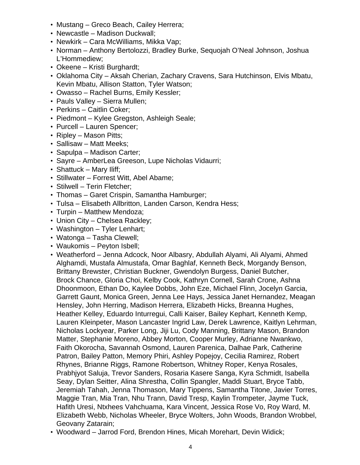- Mustang Greco Beach, Cailey Herrera;
- Newcastle Madison Duckwall;
- Newkirk Cara McWilliams, Mikka Vap;
- Norman Anthony Bertolozzi, Bradley Burke, Sequojah O'Neal Johnson, Joshua L'Hommediew;
- Okeene Kristi Burghardt;
- Oklahoma City Aksah Cherian, Zachary Cravens, Sara Hutchinson, Elvis Mbatu, Kevin Mbatu, Allison Statton, Tyler Watson;
- Owasso Rachel Burns, Emily Kessler;
- Pauls Valley Sierra Mullen;
- Perkins Caitlin Coker;
- Piedmont Kylee Gregston, Ashleigh Seale;
- Purcell Lauren Spencer;
- Ripley Mason Pitts;
- Sallisaw Matt Meeks;
- Sapulpa Madison Carter;
- Sayre AmberLea Greeson, Lupe Nicholas Vidaurri;
- Shattuck Mary Iliff;
- Stillwater Forrest Witt, Abel Abame;
- Stilwell Terin Fletcher;
- Thomas Garet Crispin, Samantha Hamburger;
- Tulsa Elisabeth Allbritton, Landen Carson, Kendra Hess;
- Turpin Matthew Mendoza;
- Union City Chelsea Rackley;
- Washington Tyler Lenhart;
- Watonga Tasha Clewell;
- Waukomis Peyton Isbell;
- Weatherford Jenna Adcock, Noor Albasry, Abdullah Alyami, Ali Alyami, Ahmed Alghamdi, Mustafa Almustafa, Omar Baghlaf, Kenneth Beck, Morgandy Benson, Brittany Brewster, Christian Buckner, Gwendolyn Burgess, Daniel Butcher, Brock Chance, Gloria Choi, Kelby Cook, Kathryn Cornell, Sarah Crone, Ashna Dhoonmoon, Ethan Do, Kaylee Dobbs, John Eze, Michael Flinn, Jocelyn Garcia, Garrett Gaunt, Monica Green, Jenna Lee Hays, Jessica Janet Hernandez, Meagan Hensley, John Herring, Madison Herrera, Elizabeth Hicks, Breanna Hughes, Heather Kelley, Eduardo Inturregui, Calli Kaiser, Bailey Kephart, Kenneth Kemp, Lauren Kleinpeter, Mason Lancaster Ingrid Law, Derek Lawrence, Kaitlyn Lehrman, Nicholas Lockyear, Parker Long, Jiji Lu, Cody Manning, Brittany Mason, Brandon Matter, Stephanie Moreno, Abbey Morton, Cooper Murley, Adrianne Nwankwo, Faith Okorocha, Savannah Osmond, Lauren Parenica, Dalhae Park, Catherine Patron, Bailey Patton, Memory Phiri, Ashley Popejoy, Cecilia Ramirez, Robert Rhynes, Brianne Riggs, Ramone Robertson, Whitney Roper, Kenya Rosales, Prabhjyot Saluja, Trevor Sanders, Rosaria Kasere Sanga, Kyra Schmidt, Isabella Seay, Dylan Seitter, Alina Shrestha, Collin Spangler, Maddi Stuart, Bryce Tabb, Jeremiah Tahah, Jenna Thomason, Mary Tippens, Samantha Titone, Javier Torres, Maggie Tran, Mia Tran, Nhu Trann, David Tresp, Kaylin Trompeter, Jayme Tuck, Hafith Uresi, Ntxhees Vahchuama, Kara Vincent, Jessica Rose Vo, Roy Ward, M. Elizabeth Webb, Nicholas Wheeler, Bryce Wolters, John Woods, Brandon Wrobbel, Geovany Zatarain;
- Woodward Jarrod Ford, Brendon Hines, Micah Morehart, Devin Widick;